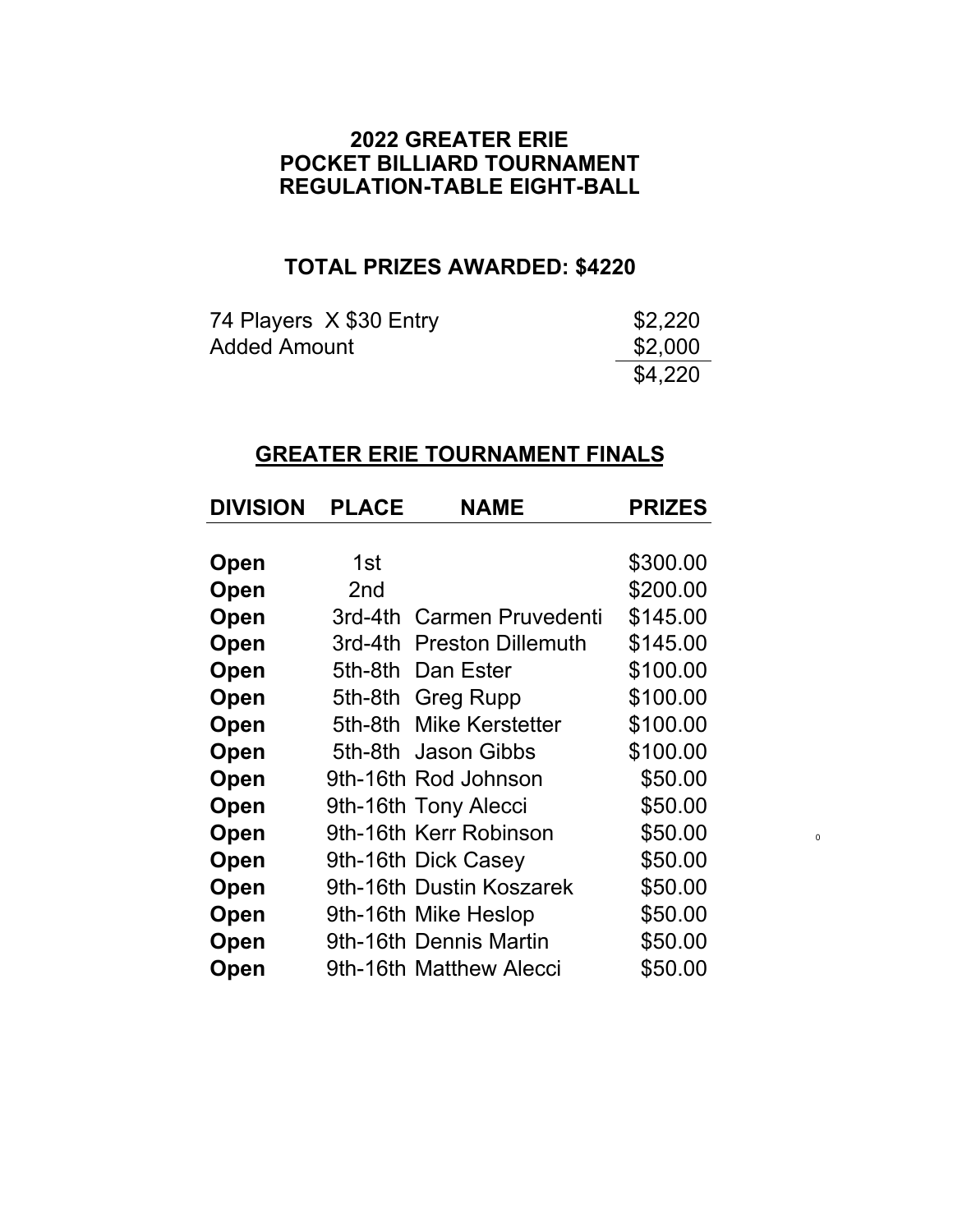### **2022 GREATER ERIE REGULATION-TABLE EIGHT-BALL POCKET BILLIARD TOURNAMENT**

# **TOTAL PRIZES AWARDED: \$4220**

| 74 Players X \$30 Entry | \$2,220 |
|-------------------------|---------|
| <b>Added Amount</b>     | \$2,000 |
|                         | \$4,220 |

## **GREATER ERIE TOURNAMENT FINALS**

| <b>DIVISION</b> | <b>PLACE</b>    | <b>NAME</b>               | <b>PRIZES</b> |
|-----------------|-----------------|---------------------------|---------------|
|                 |                 |                           |               |
| Open            | 1st             |                           | \$300.00      |
| Open            | 2 <sub>nd</sub> |                           | \$200.00      |
| Open            |                 | 3rd-4th Carmen Pruvedenti | \$145.00      |
| Open            |                 | 3rd-4th Preston Dillemuth | \$145.00      |
| Open            |                 | 5th-8th Dan Ester         | \$100.00      |
| Open            |                 | 5th-8th Greg Rupp         | \$100.00      |
| Open            |                 | 5th-8th Mike Kerstetter   | \$100.00      |
| Open            |                 | 5th-8th Jason Gibbs       | \$100.00      |
| Open            |                 | 9th-16th Rod Johnson      | \$50.00       |
| Open            |                 | 9th-16th Tony Alecci      | \$50.00       |
| Open            |                 | 9th-16th Kerr Robinson    | \$50.00       |
| Open            |                 | 9th-16th Dick Casey       | \$50.00       |
| Open            |                 | 9th-16th Dustin Koszarek  | \$50.00       |
| Open            |                 | 9th-16th Mike Heslop      | \$50.00       |
| Open            |                 | 9th-16th Dennis Martin    | \$50.00       |
| Open            |                 | 9th-16th Matthew Alecci   | \$50.00       |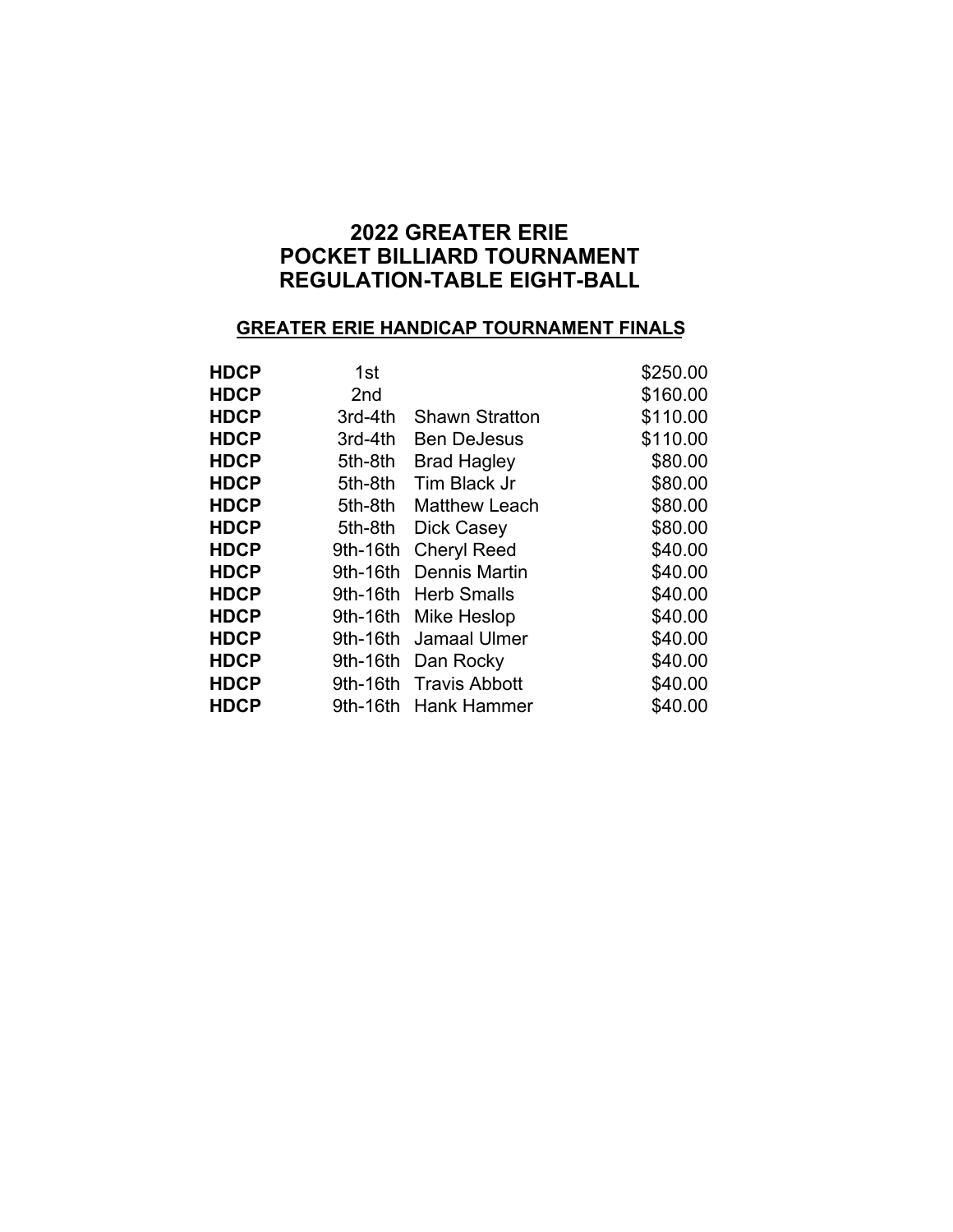## **REGULATION-TABLE EIGHT-BALL 2022 GREATER ERIE POCKET BILLIARD TOURNAMENT**

#### **GREATER ERIE HANDICAP TOURNAMENT FINALS**

| <b>HDCP</b> | 1st      |                       | \$250.00 |
|-------------|----------|-----------------------|----------|
| <b>HDCP</b> | 2nd      |                       | \$160.00 |
| <b>HDCP</b> | 3rd-4th  | <b>Shawn Stratton</b> | \$110.00 |
| <b>HDCP</b> | 3rd-4th  | <b>Ben DeJesus</b>    | \$110.00 |
| <b>HDCP</b> | 5th-8th  | <b>Brad Hagley</b>    | \$80.00  |
| <b>HDCP</b> | 5th-8th  | Tim Black Jr          | \$80.00  |
| <b>HDCP</b> | 5th-8th  | <b>Matthew Leach</b>  | \$80.00  |
| <b>HDCP</b> | 5th-8th  | Dick Casey            | \$80.00  |
| <b>HDCP</b> | 9th-16th | <b>Cheryl Reed</b>    | \$40.00  |
| <b>HDCP</b> | 9th-16th | Dennis Martin         | \$40.00  |
| <b>HDCP</b> | 9th-16th | <b>Herb Smalls</b>    | \$40.00  |
| <b>HDCP</b> | 9th-16th | <b>Mike Heslop</b>    | \$40.00  |
| <b>HDCP</b> | 9th-16th | <b>Jamaal Ulmer</b>   | \$40.00  |
| <b>HDCP</b> | 9th-16th | Dan Rocky             | \$40.00  |
| <b>HDCP</b> | 9th-16th | <b>Travis Abbott</b>  | \$40.00  |
| <b>HDCP</b> | 9th-16th | Hank Hammer           | \$40.00  |